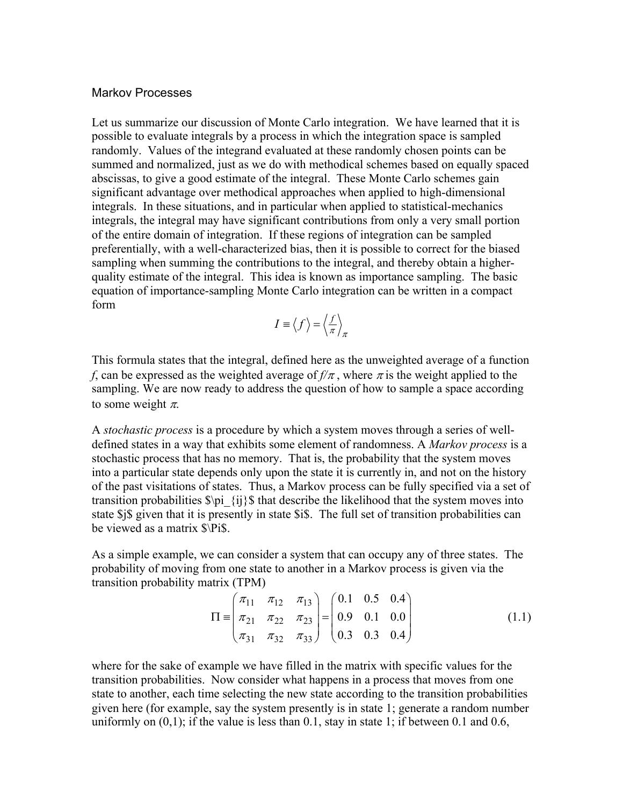### Markov Processes

Let us summarize our discussion of Monte Carlo integration. We have learned that it is possible to evaluate integrals by a process in which the integration space is sampled randomly. Values of the integrand evaluated at these randomly chosen points can be summed and normalized, just as we do with methodical schemes based on equally spaced abscissas, to give a good estimate of the integral. These Monte Carlo schemes gain significant advantage over methodical approaches when applied to high-dimensional integrals. In these situations, and in particular when applied to statistical-mechanics integrals, the integral may have significant contributions from only a very small portion of the entire domain of integration. If these regions of integration can be sampled preferentially, with a well-characterized bias, then it is possible to correct for the biased sampling when summing the contributions to the integral, and thereby obtain a higherquality estimate of the integral. This idea is known as importance sampling. The basic equation of importance-sampling Monte Carlo integration can be written in a compact form

$$
I \equiv \langle f \rangle = \left\langle \frac{f}{\pi} \right\rangle_{\pi}
$$

This formula states that the integral, defined here as the unweighted average of a function *f*, can be expressed as the weighted average of  $f/\pi$ , where  $\pi$  is the weight applied to the sampling. We are now ready to address the question of how to sample a space according to some weight  $\pi$ .

A *stochastic process* is a procedure by which a system moves through a series of welldefined states in a way that exhibits some element of randomness. A *Markov process* is a stochastic process that has no memory. That is, the probability that the system moves into a particular state depends only upon the state it is currently in, and not on the history of the past visitations of states. Thus, a Markov process can be fully specified via a set of transition probabilities  $\phi_{i}$  {ij}\$ that describe the likelihood that the system moves into state \$j\$ given that it is presently in state \$i\$. The full set of transition probabilities can be viewed as a matrix \$\Pi\$.

As a simple example, we can consider a system that can occupy any of three states. The probability of moving from one state to another in a Markov process is given via the transition probability matrix (TPM)

$$
\Pi \equiv \begin{pmatrix} \pi_{11} & \pi_{12} & \pi_{13} \\ \pi_{21} & \pi_{22} & \pi_{23} \\ \pi_{31} & \pi_{32} & \pi_{33} \end{pmatrix} = \begin{pmatrix} 0.1 & 0.5 & 0.4 \\ 0.9 & 0.1 & 0.0 \\ 0.3 & 0.3 & 0.4 \end{pmatrix} \tag{1.1}
$$

where for the sake of example we have filled in the matrix with specific values for the transition probabilities. Now consider what happens in a process that moves from one state to another, each time selecting the new state according to the transition probabilities given here (for example, say the system presently is in state 1; generate a random number uniformly on  $(0,1)$ ; if the value is less than 0.1, stay in state 1; if between 0.1 and 0.6,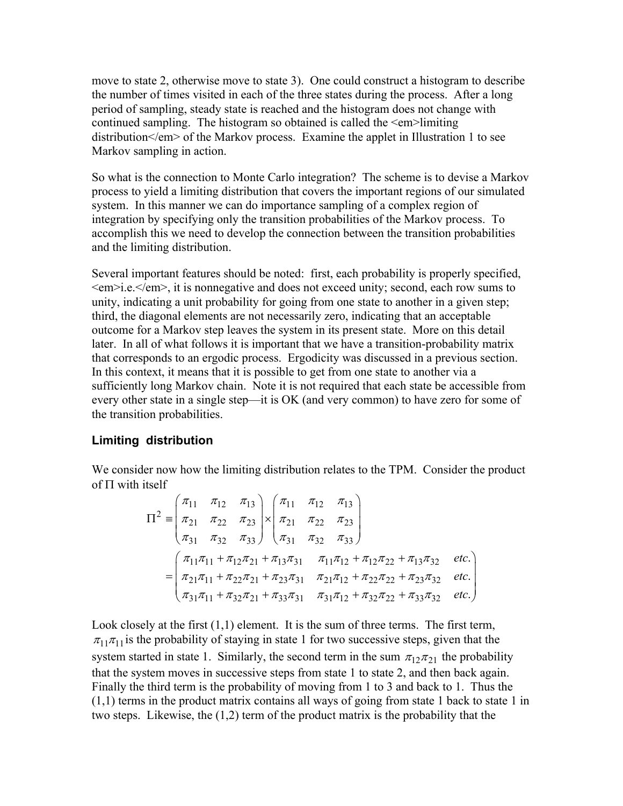move to state 2, otherwise move to state 3). One could construct a histogram to describe the number of times visited in each of the three states during the process. After a long period of sampling, steady state is reached and the histogram does not change with continued sampling. The histogram so obtained is called the <em>limiting distribution  $\le$ /em  $>$  of the Markov process. Examine the applet in Illustration 1 to see Markov sampling in action.

So what is the connection to Monte Carlo integration? The scheme is to devise a Markov process to yield a limiting distribution that covers the important regions of our simulated system. In this manner we can do importance sampling of a complex region of integration by specifying only the transition probabilities of the Markov process. To accomplish this we need to develop the connection between the transition probabilities and the limiting distribution.

Several important features should be noted: first, each probability is properly specified, <em>i.e.</em>, it is nonnegative and does not exceed unity; second, each row sums to unity, indicating a unit probability for going from one state to another in a given step; third, the diagonal elements are not necessarily zero, indicating that an acceptable outcome for a Markov step leaves the system in its present state. More on this detail later. In all of what follows it is important that we have a transition-probability matrix that corresponds to an ergodic process. Ergodicity was discussed in a previous section. In this context, it means that it is possible to get from one state to another via a sufficiently long Markov chain. Note it is not required that each state be accessible from every other state in a single step—it is OK (and very common) to have zero for some of the transition probabilities.

# **Limiting distribution**

We consider now how the limiting distribution relates to the TPM. Consider the product of  $\Pi$  with itself

$$
\Pi^{2} = \begin{pmatrix} \pi_{11} & \pi_{12} & \pi_{13} \\ \pi_{21} & \pi_{22} & \pi_{23} \\ \pi_{31} & \pi_{32} & \pi_{33} \end{pmatrix} \times \begin{pmatrix} \pi_{11} & \pi_{12} & \pi_{13} \\ \pi_{21} & \pi_{22} & \pi_{23} \\ \pi_{31} & \pi_{32} & \pi_{33} \end{pmatrix}
$$
  
= 
$$
\begin{pmatrix} \pi_{11}\pi_{11} + \pi_{12}\pi_{21} + \pi_{13}\pi_{31} & \pi_{11}\pi_{12} + \pi_{12}\pi_{22} + \pi_{13}\pi_{32} & \text{etc.} \\ \pi_{21}\pi_{11} + \pi_{22}\pi_{21} + \pi_{23}\pi_{31} & \pi_{21}\pi_{12} + \pi_{22}\pi_{22} + \pi_{23}\pi_{32} & \text{etc.} \\ \pi_{31}\pi_{11} + \pi_{32}\pi_{21} + \pi_{33}\pi_{31} & \pi_{31}\pi_{12} + \pi_{32}\pi_{22} + \pi_{33}\pi_{32} & \text{etc.} \end{pmatrix}
$$

Look closely at the first  $(1,1)$  element. It is the sum of three terms. The first term,  $\pi_{11}\pi_{11}$  is the probability of staying in state 1 for two successive steps, given that the system started in state 1. Similarly, the second term in the sum  $\pi_{12}\pi_{21}$  the probability that the system moves in successive steps from state 1 to state 2, and then back again. Finally the third term is the probability of moving from 1 to 3 and back to 1. Thus the  $(1,1)$  terms in the product matrix contains all ways of going from state 1 back to state 1 in two steps. Likewise, the (1,2) term of the product matrix is the probability that the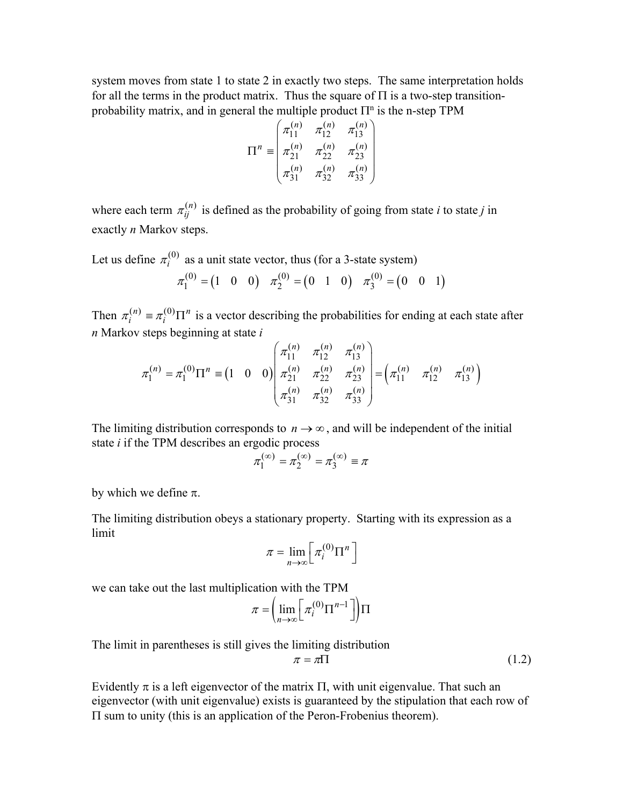system moves from state 1 to state 2 in exactly two steps. The same interpretation holds for all the terms in the product matrix. Thus the square of  $\Pi$  is a two-step transitionprobability matrix, and in general the multiple product  $\Pi^n$  is the n-step TPM

$$
\Pi^{n} \equiv \begin{pmatrix} \pi_{11}^{(n)} & \pi_{12}^{(n)} & \pi_{13}^{(n)} \\ \pi_{21}^{(n)} & \pi_{22}^{(n)} & \pi_{23}^{(n)} \\ \pi_{31}^{(n)} & \pi_{32}^{(n)} & \pi_{33}^{(n)} \end{pmatrix}
$$

where each term  $\pi_{ij}^{(n)}$  is defined as the probability of going from state *i* to state *j* in exactly *n* Markov steps.

Let us define  $\pi_i^{(0)}$  as a unit state vector, thus (for a 3-state system)

$$
\pi_1^{(0)} = (1 \ 0 \ 0) \ \pi_2^{(0)} = (0 \ 1 \ 0) \ \pi_3^{(0)} = (0 \ 0 \ 1)
$$

Then  $\pi_i^{(n)} \equiv \pi_i^{(0)} \Pi^n$  is a vector describing the probabilities for ending at each state after *n* Markov steps beginning at state *i*

$$
\pi_1^{(n)} = \pi_1^{(0)} \Pi^n \equiv \begin{pmatrix} 1 & 0 & 0 \end{pmatrix} \begin{pmatrix} \pi_{11}^{(n)} & \pi_{12}^{(n)} & \pi_{13}^{(n)} \\ \pi_{21}^{(n)} & \pi_{22}^{(n)} & \pi_{23}^{(n)} \\ \pi_{31}^{(n)} & \pi_{32}^{(n)} & \pi_{33}^{(n)} \end{pmatrix} = \begin{pmatrix} \pi_{11}^{(n)} & \pi_{12}^{(n)} & \pi_{13}^{(n)} \end{pmatrix}
$$

The limiting distribution corresponds to  $n \rightarrow \infty$ , and will be independent of the initial state *i* if the TPM describes an ergodic process

$$
\pi_1^{(\infty)} = \pi_2^{(\infty)} = \pi_3^{(\infty)} \equiv \pi
$$

by which we define  $\pi$ .

The limiting distribution obeys a stationary property. Starting with its expression as a limit

$$
\pi = \lim_{n \to \infty} \left[ \pi_i^{(0)} \Pi^n \right]
$$

we can take out the last multiplication with the TPM

$$
\pi = \left(\lim_{n \to \infty} \left[ \pi_i^{(0)} \Pi^{n-1} \right] \right) \Pi
$$

The limit in parentheses is still gives the limiting distribution

$$
\pi = \pi \Pi \tag{1.2}
$$

Evidently  $\pi$  is a left eigenvector of the matrix  $\Pi$ , with unit eigenvalue. That such an eigenvector (with unit eigenvalue) exists is guaranteed by the stipulation that each row of  $\Pi$  sum to unity (this is an application of the Peron-Frobenius theorem).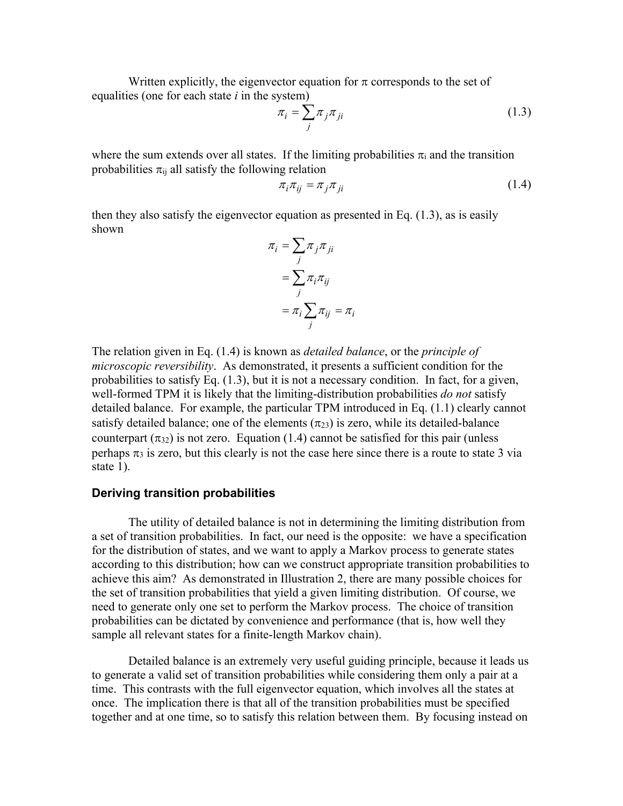Written explicitly, the eigenvector equation for  $\pi$  corresponds to the set of equalities (one for each state *i* in the system)

$$
\pi_i = \sum_j \pi_j \pi_{ji} \tag{1.3}
$$

where the sum extends over all states. If the limiting probabilities  $\pi_i$  and the transition probabilities  $\pi_{ii}$  all satisfy the following relation

$$
\pi_i \pi_{ij} = \pi_j \pi_{ji} \tag{1.4}
$$

then they also satisfy the eigenvector equation as presented in Eq. (1.3), as is easily shown

$$
\pi_i = \sum_j \pi_j \pi_{ji}
$$

$$
= \sum_j \pi_i \pi_{ij}
$$

$$
= \pi_i \sum_j \pi_{ij} = \pi_i
$$

The relation given in Eq. (1.4) is known as *detailed balance*, or the *principle of microscopic reversibility*. As demonstrated, it presents a sufficient condition for the probabilities to satisfy Eq. (1.3), but it is not a necessary condition. In fact, for a given, well-formed TPM it is likely that the limiting-distribution probabilities *do not* satisfy detailed balance. For example, the particular TPM introduced in Eq. (1.1) clearly cannot satisfy detailed balance; one of the elements  $(\pi_{23})$  is zero, while its detailed-balance counterpart  $(\pi_{32})$  is not zero. Equation (1.4) cannot be satisfied for this pair (unless perhaps  $\pi_3$  is zero, but this clearly is not the case here since there is a route to state 3 via state 1).

### **Deriving transition probabilities**

The utility of detailed balance is not in determining the limiting distribution from a set of transition probabilities. In fact, our need is the opposite: we have a specification for the distribution of states, and we want to apply a Markov process to generate states according to this distribution; how can we construct appropriate transition probabilities to achieve this aim? As demonstrated in Illustration 2, there are many possible choices for the set of transition probabilities that yield a given limiting distribution. Of course, we need to generate only one set to perform the Markov process. The choice of transition probabilities can be dictated by convenience and performance (that is, how well they sample all relevant states for a finite-length Markov chain).

Detailed balance is an extremely very useful guiding principle, because it leads us to generate a valid set of transition probabilities while considering them only a pair at a time. This contrasts with the full eigenvector equation, which involves all the states at once. The implication there is that all of the transition probabilities must be specified together and at one time, so to satisfy this relation between them. By focusing instead on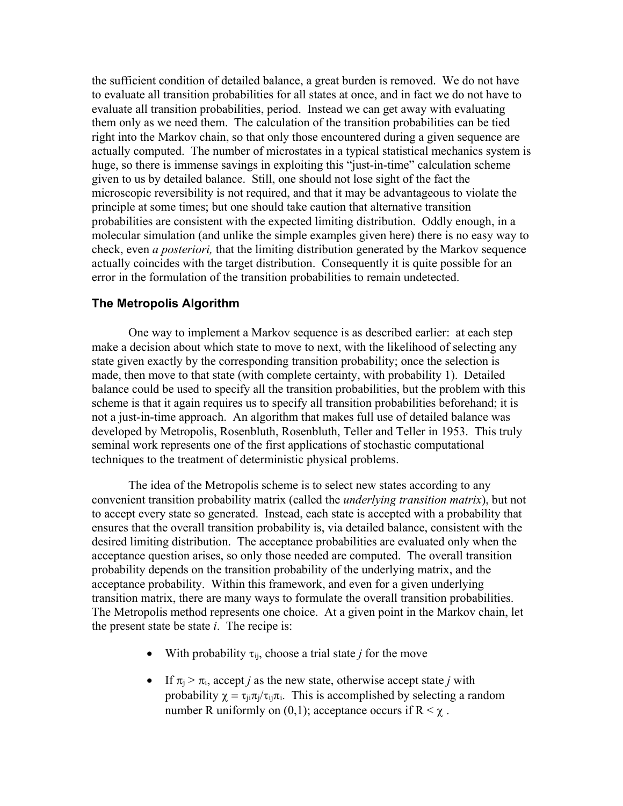the sufficient condition of detailed balance, a great burden is removed. We do not have to evaluate all transition probabilities for all states at once, and in fact we do not have to evaluate all transition probabilities, period. Instead we can get away with evaluating them only as we need them. The calculation of the transition probabilities can be tied right into the Markov chain, so that only those encountered during a given sequence are actually computed. The number of microstates in a typical statistical mechanics system is huge, so there is immense savings in exploiting this "just-in-time" calculation scheme given to us by detailed balance. Still, one should not lose sight of the fact the microscopic reversibility is not required, and that it may be advantageous to violate the principle at some times; but one should take caution that alternative transition probabilities are consistent with the expected limiting distribution. Oddly enough, in a molecular simulation (and unlike the simple examples given here) there is no easy way to check, even *a posteriori,* that the limiting distribution generated by the Markov sequence actually coincides with the target distribution. Consequently it is quite possible for an error in the formulation of the transition probabilities to remain undetected.

### **The Metropolis Algorithm**

One way to implement a Markov sequence is as described earlier: at each step make a decision about which state to move to next, with the likelihood of selecting any state given exactly by the corresponding transition probability; once the selection is made, then move to that state (with complete certainty, with probability 1). Detailed balance could be used to specify all the transition probabilities, but the problem with this scheme is that it again requires us to specify all transition probabilities beforehand; it is not a just-in-time approach. An algorithm that makes full use of detailed balance was developed by Metropolis, Rosenbluth, Rosenbluth, Teller and Teller in 1953. This truly seminal work represents one of the first applications of stochastic computational techniques to the treatment of deterministic physical problems.

The idea of the Metropolis scheme is to select new states according to any convenient transition probability matrix (called the *underlying transition matrix*), but not to accept every state so generated. Instead, each state is accepted with a probability that ensures that the overall transition probability is, via detailed balance, consistent with the desired limiting distribution. The acceptance probabilities are evaluated only when the acceptance question arises, so only those needed are computed. The overall transition probability depends on the transition probability of the underlying matrix, and the acceptance probability. Within this framework, and even for a given underlying transition matrix, there are many ways to formulate the overall transition probabilities. The Metropolis method represents one choice. At a given point in the Markov chain, let the present state be state *i*. The recipe is:

- With probability  $\tau_{ii}$ , choose a trial state *j* for the move
- If  $\pi_i > \pi_i$ , accept *j* as the new state, otherwise accept state *j* with probability  $\chi = \tau_{ji}\pi_j/\tau_{ij}\pi_i$ . This is accomplished by selecting a random number R uniformly on (0,1); acceptance occurs if  $R < \chi$ .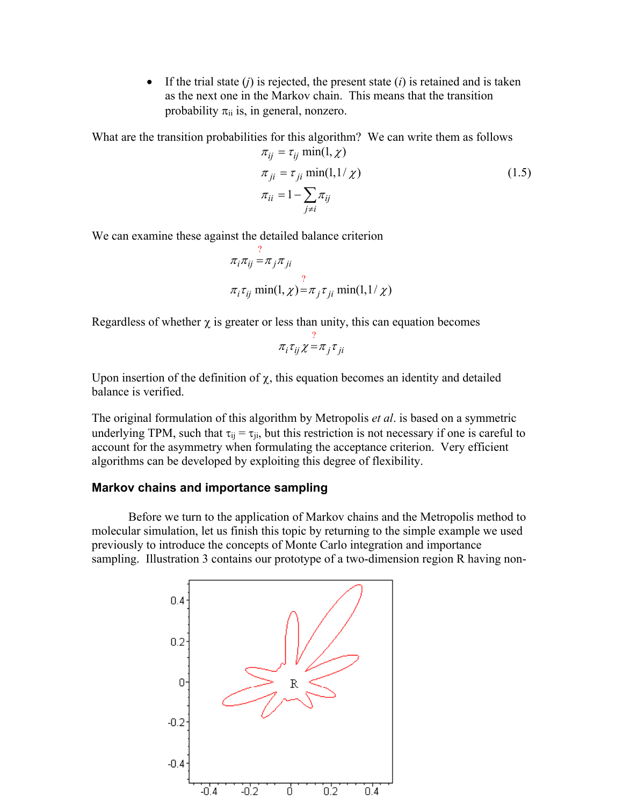• If the trial state (*j*) is rejected, the present state (*i*) is retained and is taken as the next one in the Markov chain. This means that the transition probability  $\pi_{ii}$  is, in general, nonzero.

What are the transition probabilities for this algorithm? We can write them as follows

$$
\pi_{ij} = \tau_{ij} \min(1, \chi)
$$
  
\n
$$
\pi_{ji} = \tau_{ji} \min(1, 1/\chi)
$$
  
\n
$$
\pi_{ii} = 1 - \sum_{j \neq i} \pi_{ij}
$$
\n(1.5)

We can examine these against the detailed balance criterion

$$
\pi_i \pi_{ij} = \pi_j \pi_{ji}
$$
  

$$
\pi_i \tau_{ij} \min(1, \chi) = \pi_j \tau_{ji} \min(1, 1/\chi)
$$

Regardless of whether  $\chi$  is greater or less than unity, this can equation becomes

$$
\pi_i \tau_{ij} \chi = \pi_j \tau_{ji}
$$

Upon insertion of the definition of  $\chi$ , this equation becomes an identity and detailed balance is verified.

The original formulation of this algorithm by Metropolis *et al*. is based on a symmetric underlying TPM, such that  $\tau_{ii} = \tau_{ii}$ , but this restriction is not necessary if one is careful to account for the asymmetry when formulating the acceptance criterion. Very efficient algorithms can be developed by exploiting this degree of flexibility.

# **Markov chains and importance sampling**

Before we turn to the application of Markov chains and the Metropolis method to molecular simulation, let us finish this topic by returning to the simple example we used previously to introduce the concepts of Monte Carlo integration and importance sampling. Illustration 3 contains our prototype of a two-dimension region R having non-

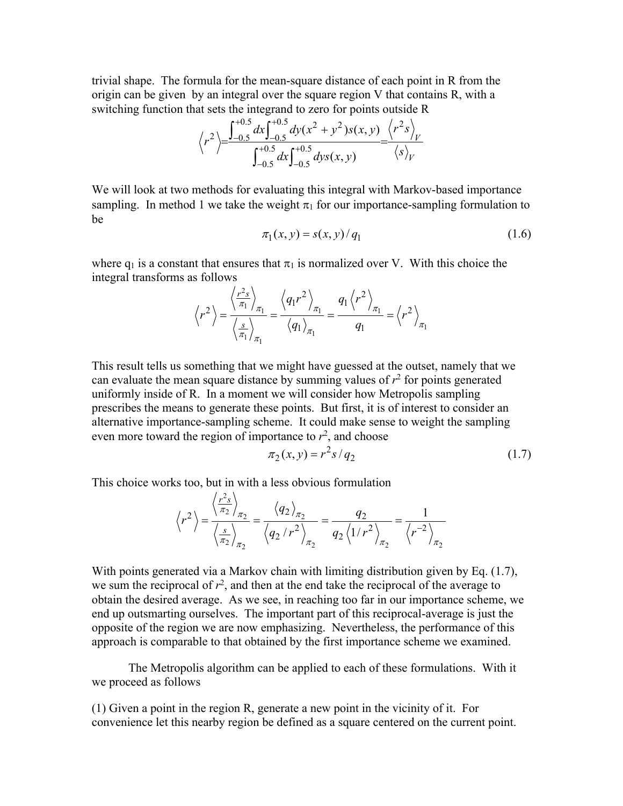trivial shape. The formula for the mean-square distance of each point in R from the origin can be given by an integral over the square region V that contains R, with a switching function that sets the integrand to zero for points outside R

$$
\langle r^2 \rangle = \frac{\int_{-0.5}^{+0.5} dx \int_{-0.5}^{+0.5} dy (x^2 + y^2) s(x, y)}{\int_{-0.5}^{+0.5} dx \int_{-0.5}^{+0.5} dy s(x, y)} = \frac{\langle r^2 s \rangle_V}{\langle s \rangle_V}
$$

We will look at two methods for evaluating this integral with Markov-based importance sampling. In method 1 we take the weight  $\pi_1$  for our importance-sampling formulation to be

$$
\pi_1(x, y) = s(x, y) / q_1 \tag{1.6}
$$

where  $q_1$  is a constant that ensures that  $\pi_1$  is normalized over V. With this choice the integral transforms as follows

$$
\left\langle r^2 \right\rangle = \frac{\left\langle \frac{r^2 s}{\pi_1} \right\rangle_{\pi_1}}{\left\langle \frac{s}{\pi_1} \right\rangle_{\pi_1}} = \frac{\left\langle q_1 r^2 \right\rangle_{\pi_1}}{\left\langle q_1 \right\rangle_{\pi_1}} = \frac{q_1 \left\langle r^2 \right\rangle_{\pi_1}}{q_1} = \left\langle r^2 \right\rangle_{\pi_1}
$$

This result tells us something that we might have guessed at the outset, namely that we can evaluate the mean square distance by summing values of  $r^2$  for points generated uniformly inside of R. In a moment we will consider how Metropolis sampling prescribes the means to generate these points. But first, it is of interest to consider an alternative importance-sampling scheme. It could make sense to weight the sampling even more toward the region of importance to  $r^2$ , and choose

$$
\pi_2(x, y) = r^2 s / q_2 \tag{1.7}
$$

This choice works too, but in with a less obvious formulation  $121$ 

$$
\left\langle r^2 \right\rangle = \frac{\left\langle \frac{r^2 s}{\pi_2} \right\rangle_{\pi_2}}{\left\langle \frac{s}{\pi_2} \right\rangle_{\pi_2}} = \frac{\left\langle q_2 \right\rangle_{\pi_2}}{\left\langle q_2 / r^2 \right\rangle_{\pi_2}} = \frac{q_2}{q_2 \left\langle 1 / r^2 \right\rangle_{\pi_2}} = \frac{1}{\left\langle r^{-2} \right\rangle_{\pi_2}}
$$

With points generated via a Markov chain with limiting distribution given by Eq. (1.7), we sum the reciprocal of  $r^2$ , and then at the end take the reciprocal of the average to obtain the desired average. As we see, in reaching too far in our importance scheme, we end up outsmarting ourselves. The important part of this reciprocal-average is just the opposite of the region we are now emphasizing. Nevertheless, the performance of this approach is comparable to that obtained by the first importance scheme we examined.

The Metropolis algorithm can be applied to each of these formulations. With it we proceed as follows

(1) Given a point in the region R, generate a new point in the vicinity of it. For convenience let this nearby region be defined as a square centered on the current point.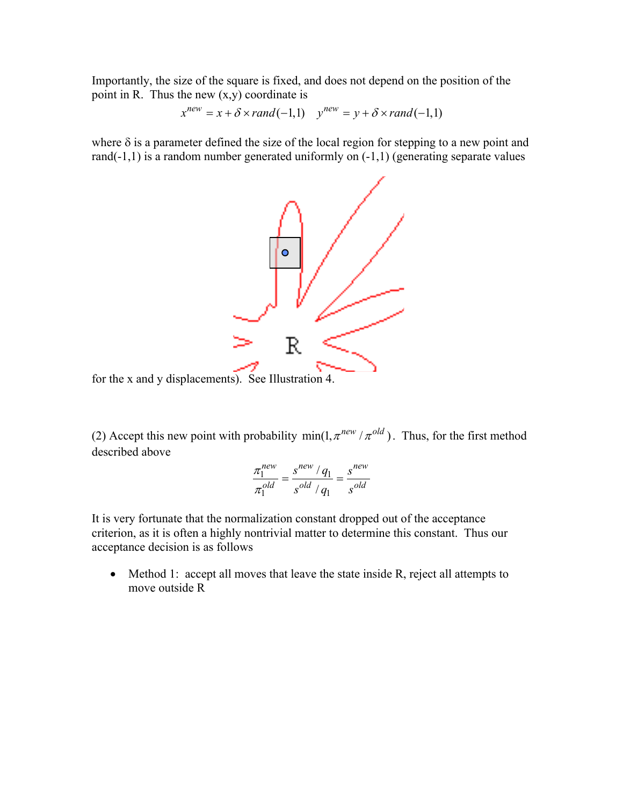Importantly, the size of the square is fixed, and does not depend on the position of the point in R. Thus the new  $(x,y)$  coordinate is

$$
x^{new} = x + \delta \times rand(-1,1) \quad y^{new} = y + \delta \times rand(-1,1)
$$

where  $\delta$  is a parameter defined the size of the local region for stepping to a new point and rand(-1,1) is a random number generated uniformly on (-1,1) (generating separate values



for the x and y displacements). See Illustration 4.

(2) Accept this new point with probability  $\min(1, \pi^{new} / \pi^{old})$ . Thus, for the first method described above

$$
\frac{\pi_1^{new}}{\pi_1^{old}} = \frac{s^{new} / q_1}{s^{old} / q_1} = \frac{s^{new}}{s^{old}}
$$

It is very fortunate that the normalization constant dropped out of the acceptance criterion, as it is often a highly nontrivial matter to determine this constant. Thus our acceptance decision is as follows

• Method 1: accept all moves that leave the state inside R, reject all attempts to move outside R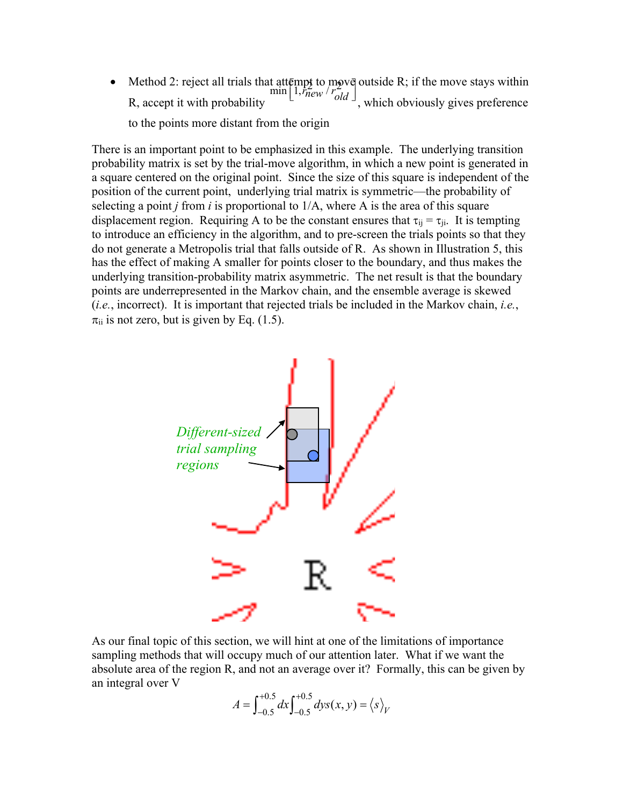• Method 2: reject all trials that attempt to move outside R; if the move stays within Method 2: reject all trials that attempt to move outside R; if the move stays within<br> $\begin{bmatrix} 1, r_{new} / r_{old} \end{bmatrix}$ , which obviously gives preference to the points more distant from the origin

There is an important point to be emphasized in this example. The underlying transition probability matrix is set by the trial-move algorithm, in which a new point is generated in a square centered on the original point. Since the size of this square is independent of the position of the current point, underlying trial matrix is symmetric—the probability of selecting a point *j* from *i* is proportional to 1/A, where A is the area of this square displacement region. Requiring A to be the constant ensures that  $\tau_{ij} = \tau_{ji}$ . It is tempting to introduce an efficiency in the algorithm, and to pre-screen the trials points so that they do not generate a Metropolis trial that falls outside of R. As shown in Illustration 5, this has the effect of making A smaller for points closer to the boundary, and thus makes the underlying transition-probability matrix asymmetric. The net result is that the boundary points are underrepresented in the Markov chain, and the ensemble average is skewed (*i.e.*, incorrect). It is important that rejected trials be included in the Markov chain, *i.e.*,  $\pi_{ii}$  is not zero, but is given by Eq. (1.5).



As our final topic of this section, we will hint at one of the limitations of importance sampling methods that will occupy much of our attention later. What if we want the absolute area of the region R, and not an average over it? Formally, this can be given by an integral over V

$$
A = \int_{-0.5}^{+0.5} dx \int_{-0.5}^{+0.5} dy s(x, y) = \langle s \rangle_V
$$